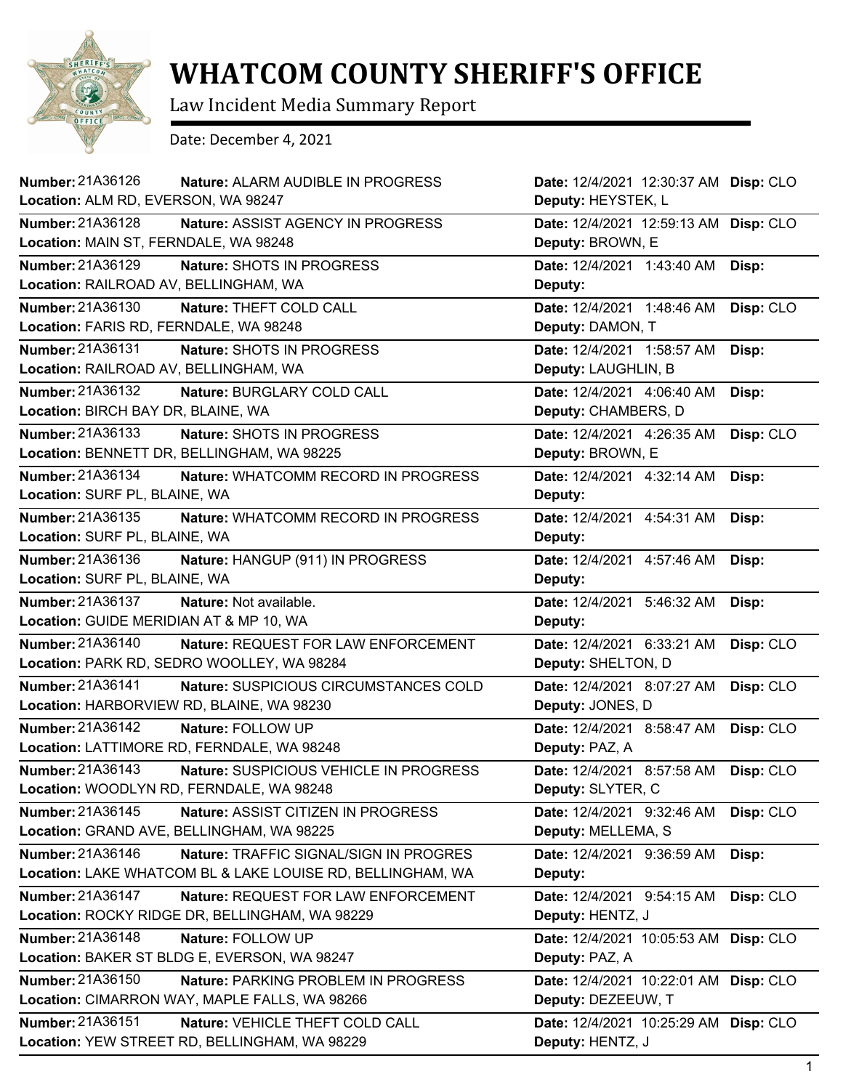

## **WHATCOM COUNTY SHERIFF'S OFFICE**

Law Incident Media Summary Report

Date: December 4, 2021

| <b>Number: 21A36126</b><br>Nature: ALARM AUDIBLE IN PROGRESS   | Date: 12/4/2021 12:30:37 AM Disp: CLO    |
|----------------------------------------------------------------|------------------------------------------|
| Location: ALM RD, EVERSON, WA 98247                            | Deputy: HEYSTEK, L                       |
| <b>Number: 21A36128</b><br>Nature: ASSIST AGENCY IN PROGRESS   | Date: 12/4/2021 12:59:13 AM Disp: CLO    |
| Location: MAIN ST, FERNDALE, WA 98248                          | Deputy: BROWN, E                         |
| Number: 21A36129<br>Nature: SHOTS IN PROGRESS                  | Date: 12/4/2021 1:43:40 AM<br>Disp:      |
| Location: RAILROAD AV, BELLINGHAM, WA                          | Deputy:                                  |
| Number: 21A36130<br>Nature: THEFT COLD CALL                    | Date: 12/4/2021 1:48:46 AM<br>Disp: CLO  |
| Location: FARIS RD, FERNDALE, WA 98248                         | Deputy: DAMON, T                         |
| Number: 21A36131<br>Nature: SHOTS IN PROGRESS                  | Date: 12/4/2021 1:58:57 AM<br>Disp:      |
| Location: RAILROAD AV, BELLINGHAM, WA                          | Deputy: LAUGHLIN, B                      |
| Number: 21A36132<br>Nature: BURGLARY COLD CALL                 | Date: 12/4/2021 4:06:40 AM<br>Disp:      |
| Location: BIRCH BAY DR, BLAINE, WA                             | Deputy: CHAMBERS, D                      |
| <b>Number: 21A36133</b><br>Nature: SHOTS IN PROGRESS           | Date: 12/4/2021 4:26:35 AM<br>Disp: CLO  |
| Location: BENNETT DR, BELLINGHAM, WA 98225                     | Deputy: BROWN, E                         |
| Number: 21A36134<br>Nature: WHATCOMM RECORD IN PROGRESS        | Date: 12/4/2021 4:32:14 AM<br>Disp:      |
| Location: SURF PL, BLAINE, WA                                  | Deputy:                                  |
| Number: 21A36135<br>Nature: WHATCOMM RECORD IN PROGRESS        | Date: 12/4/2021 4:54:31 AM<br>Disp:      |
| Location: SURF PL, BLAINE, WA                                  | Deputy:                                  |
| Number: 21A36136<br>Nature: HANGUP (911) IN PROGRESS           | Date: 12/4/2021 4:57:46 AM<br>Disp:      |
| Location: SURF PL, BLAINE, WA                                  | Deputy:                                  |
| <b>Number: 21A36137</b><br>Nature: Not available.              | Date: 12/4/2021 5:46:32 AM<br>Disp:      |
| Location: GUIDE MERIDIAN AT & MP 10, WA                        | Deputy:                                  |
| <b>Number: 21A36140</b><br>Nature: REQUEST FOR LAW ENFORCEMENT | Date: 12/4/2021 6:33:21 AM<br>Disp: CLO  |
| Location: PARK RD, SEDRO WOOLLEY, WA 98284                     | Deputy: SHELTON, D                       |
| Number: 21A36141<br>Nature: SUSPICIOUS CIRCUMSTANCES COLD      | Date: 12/4/2021 8:07:27 AM<br>Disp: CLO  |
| Location: HARBORVIEW RD, BLAINE, WA 98230                      | Deputy: JONES, D                         |
| Number: 21A36142<br>Nature: FOLLOW UP                          | Date: 12/4/2021 8:58:47 AM<br>Disp: CLO  |
| Location: LATTIMORE RD, FERNDALE, WA 98248                     | Deputy: PAZ, A                           |
| Number: 21A36143<br>Nature: SUSPICIOUS VEHICLE IN PROGRESS     | Date: 12/4/2021 8:57:58 AM<br>Disp: CLO  |
| Location: WOODLYN RD, FERNDALE, WA 98248                       | Deputy: SLYTER, C                        |
| Number: 21A36145<br>Nature: ASSIST CITIZEN IN PROGRESS         | Date: 12/4/2021 9:32:46 AM<br>Disp: CLO  |
| Location: GRAND AVE, BELLINGHAM, WA 98225                      | Deputy: MELLEMA, S                       |
| Number: 21A36146<br>Nature: TRAFFIC SIGNAL/SIGN IN PROGRES     | Date: 12/4/2021 9:36:59 AM<br>Disp:      |
| Location: LAKE WHATCOM BL & LAKE LOUISE RD, BELLINGHAM, WA     | Deputy:                                  |
| Number: 21A36147<br>Nature: REQUEST FOR LAW ENFORCEMENT        | Disp: CLO<br>Date: 12/4/2021 9:54:15 AM  |
| Location: ROCKY RIDGE DR, BELLINGHAM, WA 98229                 | Deputy: HENTZ, J                         |
| Number: 21A36148<br>Nature: FOLLOW UP                          | Date: 12/4/2021 10:05:53 AM Disp: CLO    |
| Location: BAKER ST BLDG E, EVERSON, WA 98247                   | Deputy: PAZ, A                           |
| Number: 21A36150<br>Nature: PARKING PROBLEM IN PROGRESS        | Date: 12/4/2021 10:22:01 AM Disp: CLO    |
| Location: CIMARRON WAY, MAPLE FALLS, WA 98266                  | Deputy: DEZEEUW, T                       |
| Number: 21A36151<br>Nature: VEHICLE THEFT COLD CALL            | Date: 12/4/2021 10:25:29 AM<br>Disp: CLO |
| Location: YEW STREET RD, BELLINGHAM, WA 98229                  | Deputy: HENTZ, J                         |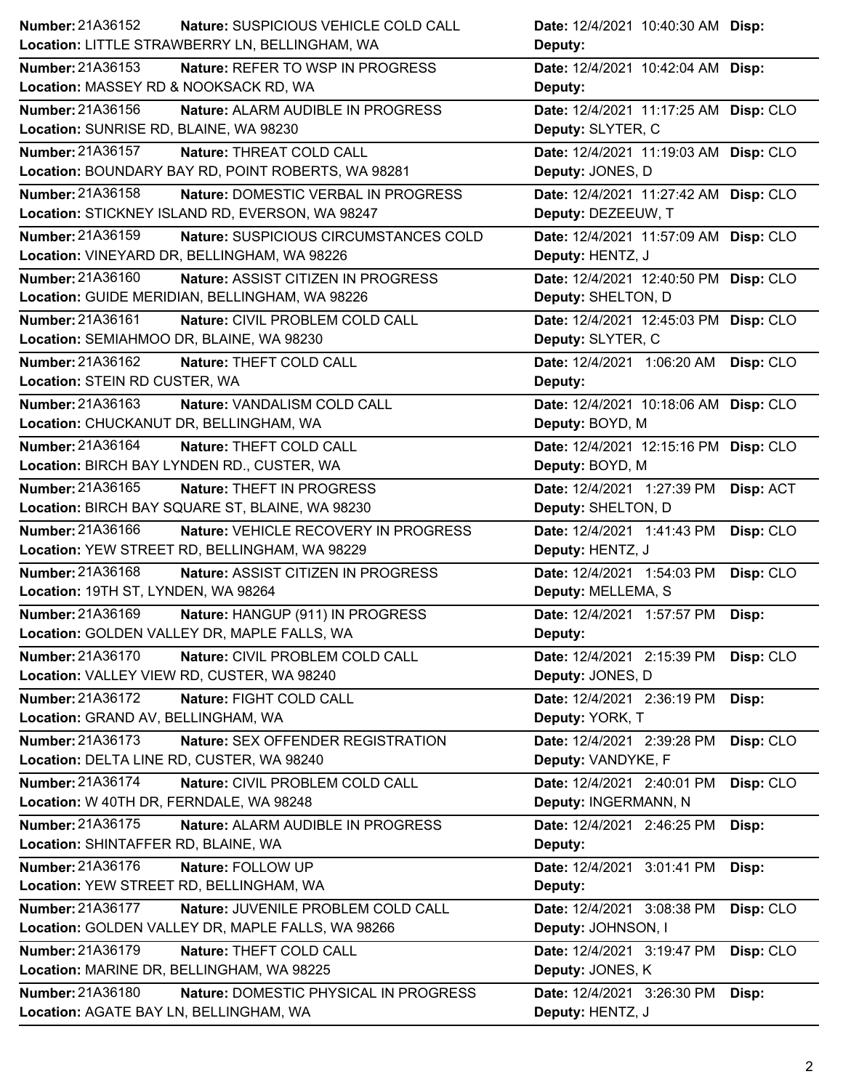| Number: 21A36152<br>Nature: SUSPICIOUS VEHICLE COLD CALL       | Date: 12/4/2021 10:40:30 AM Disp:       |
|----------------------------------------------------------------|-----------------------------------------|
| Location: LITTLE STRAWBERRY LN, BELLINGHAM, WA                 | Deputy:                                 |
| Number: 21A36153<br>Nature: REFER TO WSP IN PROGRESS           | Date: 12/4/2021 10:42:04 AM Disp:       |
| Location: MASSEY RD & NOOKSACK RD, WA                          | Deputy:                                 |
| Number: 21A36156<br>Nature: ALARM AUDIBLE IN PROGRESS          | Date: 12/4/2021 11:17:25 AM Disp: CLO   |
| Location: SUNRISE RD, BLAINE, WA 98230                         | Deputy: SLYTER, C                       |
| Number: 21A36157<br>Nature: THREAT COLD CALL                   | Date: 12/4/2021 11:19:03 AM Disp: CLO   |
| Location: BOUNDARY BAY RD, POINT ROBERTS, WA 98281             | Deputy: JONES, D                        |
| <b>Number: 21A36158</b><br>Nature: DOMESTIC VERBAL IN PROGRESS | Date: 12/4/2021 11:27:42 AM Disp: CLO   |
| Location: STICKNEY ISLAND RD, EVERSON, WA 98247                | Deputy: DEZEEUW, T                      |
| Number: 21A36159<br>Nature: SUSPICIOUS CIRCUMSTANCES COLD      | Date: 12/4/2021 11:57:09 AM Disp: CLO   |
| Location: VINEYARD DR, BELLINGHAM, WA 98226                    | Deputy: HENTZ, J                        |
| Number: 21A36160<br>Nature: ASSIST CITIZEN IN PROGRESS         | Date: 12/4/2021 12:40:50 PM Disp: CLO   |
| Location: GUIDE MERIDIAN, BELLINGHAM, WA 98226                 | Deputy: SHELTON, D                      |
| Number: 21A36161<br>Nature: CIVIL PROBLEM COLD CALL            | Date: 12/4/2021 12:45:03 PM Disp: CLO   |
| Location: SEMIAHMOO DR, BLAINE, WA 98230                       | Deputy: SLYTER, C                       |
| Number: 21A36162<br>Nature: THEFT COLD CALL                    | Date: 12/4/2021 1:06:20 AM Disp: CLO    |
| Location: STEIN RD CUSTER, WA                                  | Deputy:                                 |
| Number: 21A36163<br>Nature: VANDALISM COLD CALL                | Date: 12/4/2021 10:18:06 AM Disp: CLO   |
| Location: CHUCKANUT DR, BELLINGHAM, WA                         | Deputy: BOYD, M                         |
| Number: 21A36164<br>Nature: THEFT COLD CALL                    | Date: 12/4/2021 12:15:16 PM Disp: CLO   |
| Location: BIRCH BAY LYNDEN RD., CUSTER, WA                     | Deputy: BOYD, M                         |
| Number: 21A36165<br><b>Nature: THEFT IN PROGRESS</b>           | Date: 12/4/2021 1:27:39 PM<br>Disp: ACT |
| Location: BIRCH BAY SQUARE ST, BLAINE, WA 98230                | Deputy: SHELTON, D                      |
|                                                                | Date: 12/4/2021 1:41:43 PM<br>Disp: CLO |
| Number: 21A36166<br>Nature: VEHICLE RECOVERY IN PROGRESS       |                                         |
| Location: YEW STREET RD, BELLINGHAM, WA 98229                  | Deputy: HENTZ, J                        |
| Number: 21A36168<br>Nature: ASSIST CITIZEN IN PROGRESS         | Disp: CLO<br>Date: 12/4/2021 1:54:03 PM |
| Location: 19TH ST, LYNDEN, WA 98264                            | Deputy: MELLEMA, S                      |
| Number: 21A36169<br>Nature: HANGUP (911) IN PROGRESS           | Date: 12/4/2021 1:57:57 PM<br>Disp:     |
| Location: GOLDEN VALLEY DR, MAPLE FALLS, WA                    | Deputy:                                 |
| Number: 21A36170<br>Nature: CIVIL PROBLEM COLD CALL            | Date: 12/4/2021 2:15:39 PM<br>Disp: CLO |
| Location: VALLEY VIEW RD, CUSTER, WA 98240                     | Deputy: JONES, D                        |
| Number: 21A36172<br>Nature: FIGHT COLD CALL                    | Date: 12/4/2021 2:36:19 PM<br>Disp:     |
| Location: GRAND AV, BELLINGHAM, WA                             | Deputy: YORK, T                         |
| Number: 21A36173<br>Nature: SEX OFFENDER REGISTRATION          | Date: 12/4/2021 2:39:28 PM<br>Disp: CLO |
| Location: DELTA LINE RD, CUSTER, WA 98240                      | Deputy: VANDYKE, F                      |
| Number: 21A36174<br>Nature: CIVIL PROBLEM COLD CALL            | Date: 12/4/2021 2:40:01 PM<br>Disp: CLO |
| Location: W 40TH DR, FERNDALE, WA 98248                        | Deputy: INGERMANN, N                    |
| Number: 21A36175<br>Nature: ALARM AUDIBLE IN PROGRESS          | Date: 12/4/2021 2:46:25 PM<br>Disp:     |
| Location: SHINTAFFER RD, BLAINE, WA                            | Deputy:                                 |
| Number: 21A36176<br>Nature: FOLLOW UP                          | Date: 12/4/2021 3:01:41 PM<br>Disp:     |
| Location: YEW STREET RD, BELLINGHAM, WA                        | Deputy:                                 |
| Number: 21A36177<br>Nature: JUVENILE PROBLEM COLD CALL         | Disp: CLO<br>Date: 12/4/2021 3:08:38 PM |
| Location: GOLDEN VALLEY DR, MAPLE FALLS, WA 98266              | Deputy: JOHNSON, I                      |
| <b>Number: 21A36179</b><br>Nature: THEFT COLD CALL             | Date: 12/4/2021 3:19:47 PM<br>Disp: CLO |
| Location: MARINE DR, BELLINGHAM, WA 98225                      | Deputy: JONES, K                        |
| Number: 21A36180<br>Nature: DOMESTIC PHYSICAL IN PROGRESS      | Date: 12/4/2021 3:26:30 PM<br>Disp:     |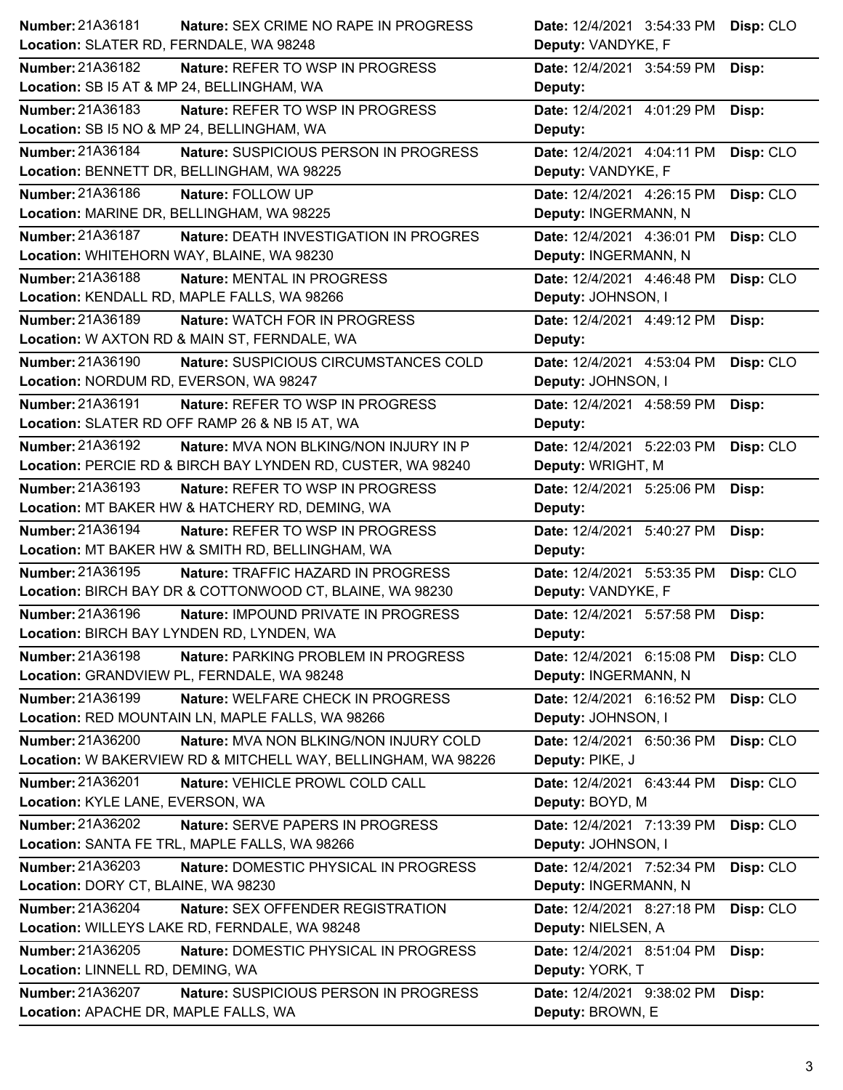| Number: 21A36181                                              | Date: 12/4/2021 3:54:33 PM |
|---------------------------------------------------------------|----------------------------|
| Nature: SEX CRIME NO RAPE IN PROGRESS                         | Disp: CLO                  |
| Location: SLATER RD, FERNDALE, WA 98248                       | Deputy: VANDYKE, F         |
| <b>Number: 21A36182</b>                                       | Date: 12/4/2021 3:54:59 PM |
| <b>Nature: REFER TO WSP IN PROGRESS</b>                       | Disp:                      |
| Location: SB I5 AT & MP 24, BELLINGHAM, WA                    | Deputy:                    |
| Number: 21A36183                                              | Date: 12/4/2021 4:01:29 PM |
| Nature: REFER TO WSP IN PROGRESS                              | Disp:                      |
| Location: SB I5 NO & MP 24, BELLINGHAM, WA                    | Deputy:                    |
| Number: 21A36184                                              | Date: 12/4/2021 4:04:11 PM |
| Nature: SUSPICIOUS PERSON IN PROGRESS                         | Disp: CLO                  |
| Location: BENNETT DR, BELLINGHAM, WA 98225                    | Deputy: VANDYKE, F         |
| Number: 21A36186                                              | Date: 12/4/2021 4:26:15 PM |
| Nature: FOLLOW UP                                             | Disp: CLO                  |
| Location: MARINE DR, BELLINGHAM, WA 98225                     | Deputy: INGERMANN, N       |
| Number: 21A36187                                              | Date: 12/4/2021 4:36:01 PM |
| Nature: DEATH INVESTIGATION IN PROGRES                        | Disp: CLO                  |
| Location: WHITEHORN WAY, BLAINE, WA 98230                     | Deputy: INGERMANN, N       |
| Number: 21A36188                                              | Date: 12/4/2021 4:46:48 PM |
| Nature: MENTAL IN PROGRESS                                    | Disp: CLO                  |
| Location: KENDALL RD, MAPLE FALLS, WA 98266                   | Deputy: JOHNSON, I         |
| Number: 21A36189                                              | Date: 12/4/2021 4:49:12 PM |
| <b>Nature: WATCH FOR IN PROGRESS</b>                          | Disp:                      |
| Location: W AXTON RD & MAIN ST, FERNDALE, WA                  | Deputy:                    |
| Number: 21A36190                                              | Date: 12/4/2021 4:53:04 PM |
| Nature: SUSPICIOUS CIRCUMSTANCES COLD                         | Disp: CLO                  |
| Location: NORDUM RD, EVERSON, WA 98247                        | Deputy: JOHNSON, I         |
| Number: 21A36191                                              | Date: 12/4/2021 4:58:59 PM |
| Nature: REFER TO WSP IN PROGRESS                              | Disp:                      |
| Location: SLATER RD OFF RAMP 26 & NB I5 AT, WA                | Deputy:                    |
| Number: 21A36192                                              | Date: 12/4/2021 5:22:03 PM |
| <b>Nature: MVA NON BLKING/NON INJURY IN P</b>                 | Disp: CLO                  |
| Location: PERCIE RD & BIRCH BAY LYNDEN RD, CUSTER, WA 98240   | Deputy: WRIGHT, M          |
| Number: 21A36193                                              | Date: 12/4/2021 5:25:06 PM |
| <b>Nature: REFER TO WSP IN PROGRESS</b>                       | Disp:                      |
| Location: MT BAKER HW & HATCHERY RD, DEMING, WA               | Deputy:                    |
|                                                               |                            |
| Number: 21A36194                                              | Date: 12/4/2021 5:40:27 PM |
| <b>Nature: REFER TO WSP IN PROGRESS</b>                       | Disp:                      |
| Location: MT BAKER HW & SMITH RD, BELLINGHAM, WA              | Deputy:                    |
| Number: 21A36195                                              | Date: 12/4/2021 5:53:35 PM |
| <b>Nature: TRAFFIC HAZARD IN PROGRESS</b>                     | Disp: CLO                  |
| Location: BIRCH BAY DR & COTTONWOOD CT, BLAINE, WA 98230      | Deputy: VANDYKE, F         |
| Number: 21A36196                                              | Date: 12/4/2021 5:57:58 PM |
| Nature: IMPOUND PRIVATE IN PROGRESS                           | Disp:                      |
| Location: BIRCH BAY LYNDEN RD, LYNDEN, WA                     | Deputy:                    |
| Number: 21A36198                                              | Date: 12/4/2021 6:15:08 PM |
| Nature: PARKING PROBLEM IN PROGRESS                           | Disp: CLO                  |
| Location: GRANDVIEW PL, FERNDALE, WA 98248                    | Deputy: INGERMANN, N       |
| Number: 21A36199                                              | Date: 12/4/2021 6:16:52 PM |
| Nature: WELFARE CHECK IN PROGRESS                             | Disp: CLO                  |
| Location: RED MOUNTAIN LN, MAPLE FALLS, WA 98266              | Deputy: JOHNSON, I         |
| Number: 21A36200                                              | Date: 12/4/2021 6:50:36 PM |
| Nature: MVA NON BLKING/NON INJURY COLD                        | Disp: CLO                  |
| Location: W BAKERVIEW RD & MITCHELL WAY, BELLINGHAM, WA 98226 | Deputy: PIKE, J            |
| Number: 21A36201                                              | Date: 12/4/2021 6:43:44 PM |
| Nature: VEHICLE PROWL COLD CALL                               | Disp: CLO                  |
| Location: KYLE LANE, EVERSON, WA                              | Deputy: BOYD, M            |
| Number: 21A36202                                              | Date: 12/4/2021 7:13:39 PM |
| Nature: SERVE PAPERS IN PROGRESS                              | Disp: CLO                  |
| Location: SANTA FE TRL, MAPLE FALLS, WA 98266                 | Deputy: JOHNSON, I         |
| Number: 21A36203                                              | Date: 12/4/2021 7:52:34 PM |
| Nature: DOMESTIC PHYSICAL IN PROGRESS                         | Disp: CLO                  |
| Location: DORY CT, BLAINE, WA 98230                           | Deputy: INGERMANN, N       |
| Number: 21A36204                                              | Date: 12/4/2021 8:27:18 PM |
| Nature: SEX OFFENDER REGISTRATION                             | Disp: CLO                  |
| Location: WILLEYS LAKE RD, FERNDALE, WA 98248                 | Deputy: NIELSEN, A         |
| Number: 21A36205                                              | Date: 12/4/2021 8:51:04 PM |
| Nature: DOMESTIC PHYSICAL IN PROGRESS                         | Disp:                      |
| Location: LINNELL RD, DEMING, WA                              | Deputy: YORK, T            |
| <b>Number: 21A36207</b>                                       | Date: 12/4/2021 9:38:02 PM |
| Nature: SUSPICIOUS PERSON IN PROGRESS                         | Disp:                      |